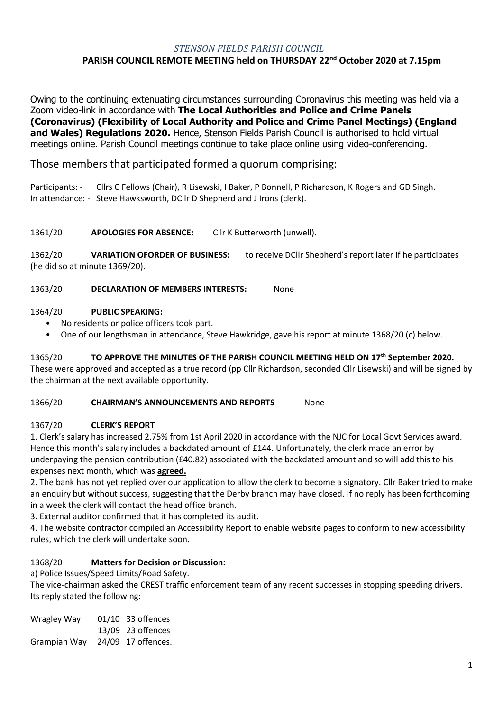# *STENSON FIELDS PARISH COUNCIL*

# **PARISH COUNCIL REMOTE MEETING held on THURSDAY 22nd October 2020 at 7.15pm**

Owing to the continuing extenuating circumstances surrounding Coronavirus this meeting was held via a Zoom video-link in accordance with **The Local Authorities and Police and Crime Panels (Coronavirus) (Flexibility of Local Authority and Police and Crime Panel Meetings) (England and Wales) Regulations 2020.** Hence, Stenson Fields Parish Council is authorised to hold virtual meetings online. Parish Council meetings continue to take place online using video-conferencing.

Those members that participated formed a quorum comprising:

Participants: - Cllrs C Fellows (Chair), R Lisewski, I Baker, P Bonnell, P Richardson, K Rogers and GD Singh. In attendance: - Steve Hawksworth, DCllr D Shepherd and J Irons (clerk).

1361/20 **APOLOGIES FOR ABSENCE:** Cllr K Butterworth (unwell).

1362/20 **VARIATION OFORDER OF BUSINESS:** to receive DCllr Shepherd's report later if he participates (he did so at minute 1369/20).

1363/20 **DECLARATION OF MEMBERS INTERESTS:** None

#### 1364/20 **PUBLIC SPEAKING:**

- No residents or police officers took part.
- One of our lengthsman in attendance, Steve Hawkridge, gave his report at minute 1368/20 (c) below.

1365/20 **TO APPROVE THE MINUTES OF THE PARISH COUNCIL MEETING HELD ON 17 th September 2020.**  These were approved and accepted as a true record (pp Cllr Richardson, seconded Cllr Lisewski) and will be signed by the chairman at the next available opportunity.

#### 1366/20 **CHAIRMAN'S ANNOUNCEMENTS AND REPORTS** None

#### 1367/20 **CLERK'S REPORT**

1. Clerk's salary has increased 2.75% from 1st April 2020 in accordance with the NJC for Local Govt Services award. Hence this month's salary includes a backdated amount of £144. Unfortunately, the clerk made an error by underpaying the pension contribution (£40.82) associated with the backdated amount and so will add this to his expenses next month, which was **agreed.**

2. The bank has not yet replied over our application to allow the clerk to become a signatory. Cllr Baker tried to make an enquiry but without success, suggesting that the Derby branch may have closed. If no reply has been forthcoming in a week the clerk will contact the head office branch.

3. External auditor confirmed that it has completed its audit.

4. The website contractor compiled an Accessibility Report to enable website pages to conform to new accessibility rules, which the clerk will undertake soon.

# 1368/20 **Matters for Decision or Discussion:**

a) Police Issues/Speed Limits/Road Safety.

The vice-chairman asked the CREST traffic enforcement team of any recent successes in stopping speeding drivers. Its reply stated the following:

| Wragley Way  | 01/10 33 offences  |
|--------------|--------------------|
|              | 13/09 23 offences  |
| Grampian Way | 24/09 17 offences. |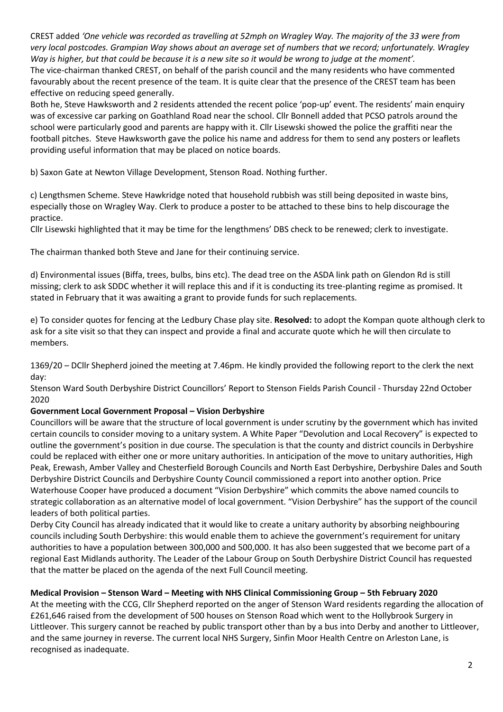CREST added *'One vehicle was recorded as travelling at 52mph on Wragley Way. The majority of the 33 were from very local postcodes. Grampian Way shows about an average set of numbers that we record; unfortunately. Wragley Way is higher, but that could be because it is a new site so it would be wrong to judge at the moment'.*

The vice-chairman thanked CREST, on behalf of the parish council and the many residents who have commented favourably about the recent presence of the team. It is quite clear that the presence of the CREST team has been effective on reducing speed generally.

Both he, Steve Hawksworth and 2 residents attended the recent police 'pop-up' event. The residents' main enquiry was of excessive car parking on Goathland Road near the school. Cllr Bonnell added that PCSO patrols around the school were particularly good and parents are happy with it. Cllr Lisewski showed the police the graffiti near the football pitches. Steve Hawksworth gave the police his name and address for them to send any posters or leaflets providing useful information that may be placed on notice boards.

b) Saxon Gate at Newton Village Development, Stenson Road. Nothing further.

c) Lengthsmen Scheme. Steve Hawkridge noted that household rubbish was still being deposited in waste bins, especially those on Wragley Way. Clerk to produce a poster to be attached to these bins to help discourage the practice.

Cllr Lisewski highlighted that it may be time for the lengthmens' DBS check to be renewed; clerk to investigate.

The chairman thanked both Steve and Jane for their continuing service.

d) Environmental issues (Biffa, trees, bulbs, bins etc). The dead tree on the ASDA link path on Glendon Rd is still missing; clerk to ask SDDC whether it will replace this and if it is conducting its tree-planting regime as promised. It stated in February that it was awaiting a grant to provide funds for such replacements.

e) To consider quotes for fencing at the Ledbury Chase play site. **Resolved:** to adopt the Kompan quote although clerk to ask for a site visit so that they can inspect and provide a final and accurate quote which he will then circulate to members.

1369/20 – DCllr Shepherd joined the meeting at 7.46pm. He kindly provided the following report to the clerk the next day:

Stenson Ward South Derbyshire District Councillors' Report to Stenson Fields Parish Council - Thursday 22nd October 2020

# **Government Local Government Proposal – Vision Derbyshire**

Councillors will be aware that the structure of local government is under scrutiny by the government which has invited certain councils to consider moving to a unitary system. A White Paper "Devolution and Local Recovery" is expected to outline the government's position in due course. The speculation is that the county and district councils in Derbyshire could be replaced with either one or more unitary authorities. In anticipation of the move to unitary authorities, High Peak, Erewash, Amber Valley and Chesterfield Borough Councils and North East Derbyshire, Derbyshire Dales and South Derbyshire District Councils and Derbyshire County Council commissioned a report into another option. Price Waterhouse Cooper have produced a document "Vision Derbyshire" which commits the above named councils to strategic collaboration as an alternative model of local government. "Vision Derbyshire" has the support of the council leaders of both political parties.

Derby City Council has already indicated that it would like to create a unitary authority by absorbing neighbouring councils including South Derbyshire: this would enable them to achieve the government's requirement for unitary authorities to have a population between 300,000 and 500,000. It has also been suggested that we become part of a regional East Midlands authority. The Leader of the Labour Group on South Derbyshire District Council has requested that the matter be placed on the agenda of the next Full Council meeting.

# **Medical Provision – Stenson Ward – Meeting with NHS Clinical Commissioning Group – 5th February 2020**

At the meeting with the CCG, Cllr Shepherd reported on the anger of Stenson Ward residents regarding the allocation of £261,646 raised from the development of 500 houses on Stenson Road which went to the Hollybrook Surgery in Littleover. This surgery cannot be reached by public transport other than by a bus into Derby and another to Littleover, and the same journey in reverse. The current local NHS Surgery, Sinfin Moor Health Centre on Arleston Lane, is recognised as inadequate.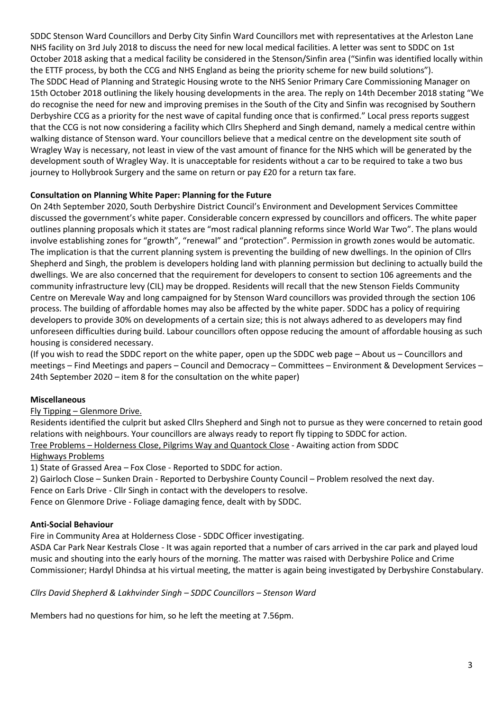SDDC Stenson Ward Councillors and Derby City Sinfin Ward Councillors met with representatives at the Arleston Lane NHS facility on 3rd July 2018 to discuss the need for new local medical facilities. A letter was sent to SDDC on 1st October 2018 asking that a medical facility be considered in the Stenson/Sinfin area ("Sinfin was identified locally within the ETTF process, by both the CCG and NHS England as being the priority scheme for new build solutions"). The SDDC Head of Planning and Strategic Housing wrote to the NHS Senior Primary Care Commissioning Manager on 15th October 2018 outlining the likely housing developments in the area. The reply on 14th December 2018 stating "We do recognise the need for new and improving premises in the South of the City and Sinfin was recognised by Southern Derbyshire CCG as a priority for the nest wave of capital funding once that is confirmed." Local press reports suggest that the CCG is not now considering a facility which Cllrs Shepherd and Singh demand, namely a medical centre within walking distance of Stenson ward. Your councillors believe that a medical centre on the development site south of Wragley Way is necessary, not least in view of the vast amount of finance for the NHS which will be generated by the development south of Wragley Way. It is unacceptable for residents without a car to be required to take a two bus journey to Hollybrook Surgery and the same on return or pay £20 for a return tax fare.

# **Consultation on Planning White Paper: Planning for the Future**

On 24th September 2020, South Derbyshire District Council's Environment and Development Services Committee discussed the government's white paper. Considerable concern expressed by councillors and officers. The white paper outlines planning proposals which it states are "most radical planning reforms since World War Two". The plans would involve establishing zones for "growth", "renewal" and "protection". Permission in growth zones would be automatic. The implication is that the current planning system is preventing the building of new dwellings. In the opinion of Cllrs Shepherd and Singh, the problem is developers holding land with planning permission but declining to actually build the dwellings. We are also concerned that the requirement for developers to consent to section 106 agreements and the community infrastructure levy (CIL) may be dropped. Residents will recall that the new Stenson Fields Community Centre on Merevale Way and long campaigned for by Stenson Ward councillors was provided through the section 106 process. The building of affordable homes may also be affected by the white paper. SDDC has a policy of requiring developers to provide 30% on developments of a certain size; this is not always adhered to as developers may find unforeseen difficulties during build. Labour councillors often oppose reducing the amount of affordable housing as such housing is considered necessary.

(If you wish to read the SDDC report on the white paper, open up the SDDC web page – About us – Councillors and meetings – Find Meetings and papers – Council and Democracy – Committees – Environment & Development Services – 24th September 2020 – item 8 for the consultation on the white paper)

# **Miscellaneous**

#### Fly Tipping – Glenmore Drive.

Residents identified the culprit but asked Cllrs Shepherd and Singh not to pursue as they were concerned to retain good relations with neighbours. Your councillors are always ready to report fly tipping to SDDC for action. Tree Problems – Holderness Close, Pilgrims Way and Quantock Close - Awaiting action from SDDC

### Highways Problems

1) State of Grassed Area – Fox Close - Reported to SDDC for action.

2) Gairloch Close – Sunken Drain - Reported to Derbyshire County Council – Problem resolved the next day.

Fence on Earls Drive - Cllr Singh in contact with the developers to resolve.

Fence on Glenmore Drive - Foliage damaging fence, dealt with by SDDC.

# **Anti-Social Behaviour**

Fire in Community Area at Holderness Close - SDDC Officer investigating.

ASDA Car Park Near Kestrals Close - It was again reported that a number of cars arrived in the car park and played loud music and shouting into the early hours of the morning. The matter was raised with Derbyshire Police and Crime Commissioner; Hardyl Dhindsa at his virtual meeting, the matter is again being investigated by Derbyshire Constabulary.

*Cllrs David Shepherd & Lakhvinder Singh – SDDC Councillors – Stenson Ward*

Members had no questions for him, so he left the meeting at 7.56pm.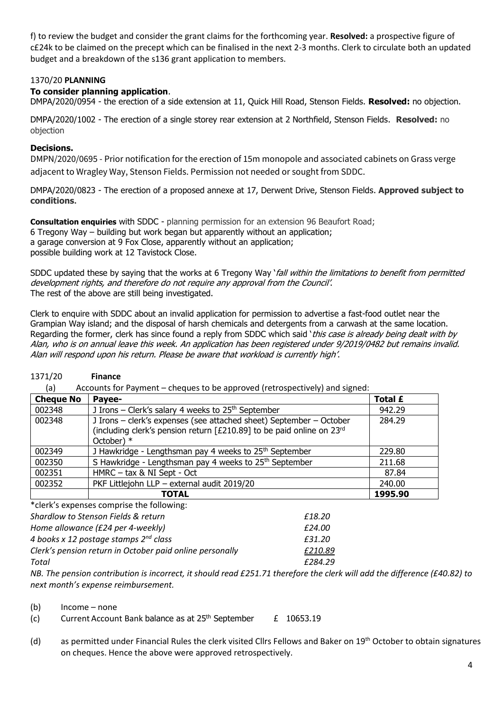f) to review the budget and consider the grant claims for the forthcoming year. **Resolved:** a prospective figure of c£24k to be claimed on the precept which can be finalised in the next 2-3 months. Clerk to circulate both an updated budget and a breakdown of the s136 grant application to members.

### 1370/20 **PLANNING**

### **To consider planning application**.

DMPA/2020/0954 - the erection of a side extension at 11, Quick Hill Road, Stenson Fields. **Resolved:** no objection.

DMPA/2020/1002 - The erection of a single storey rear extension at 2 Northfield, Stenson Fields. **Resolved:** no objection

### **Decisions.**

DMPN/2020/0695 - Prior notification for the erection of 15m monopole and associated cabinets on Grass verge adjacent to Wragley Way, Stenson Fields. Permission not needed or sought from SDDC.

DMPA/2020/0823 - The erection of a proposed annexe at 17, Derwent Drive, Stenson Fields. **Approved subject to conditions.**

**Consultation enquiries** with SDDC - planning permission for an extension 96 Beaufort Road; 6 Tregony Way – building but work began but apparently without an application; a garage conversion at 9 Fox Close, apparently without an application; possible building work at 12 Tavistock Close.

SDDC updated these by saying that the works at 6 Tregony Way *`fall within the limitations to benefit from permitted* development rights, and therefore do not require any approval from the Council'. The rest of the above are still being investigated.

Clerk to enquire with SDDC about an invalid application for permission to advertise a fast-food outlet near the Grampian Way island; and the disposal of harsh chemicals and detergents from a carwash at the same location. Regarding the former, clerk has since found a reply from SDDC which said *`this case is already being dealt with by* Alan, who is on annual leave this week. An application has been registered under 9/2019/0482 but remains invalid. Alan will respond upon his return. Please be aware that workload is currently high'.

# 1371/20 **Finance**

(a) Accounts for Payment – cheques to be approved (retrospectively) and signed:

| <b>Cheque No</b> | Payee-                                                                                                                                                       | <b>Total £</b> |
|------------------|--------------------------------------------------------------------------------------------------------------------------------------------------------------|----------------|
| 002348           | J Irons – Clerk's salary 4 weeks to $25th$ September                                                                                                         | 942.29         |
| 002348           | J Irons - clerk's expenses (see attached sheet) September - October<br>(including clerk's pension return [£210.89] to be paid online on 23rd<br>October) $*$ | 284.29         |
| 002349           | J Hawkridge - Lengthsman pay 4 weeks to 25 <sup>th</sup> September                                                                                           | 229.80         |
| 002350           | S Hawkridge - Lengthsman pay 4 weeks to 25 <sup>th</sup> September                                                                                           | 211.68         |
| 002351           | HMRC - tax & NI Sept - Oct                                                                                                                                   | 87.84          |
| 002352           | PKF Littlejohn LLP - external audit 2019/20                                                                                                                  | 240.00         |
|                  | <b>TOTAL</b>                                                                                                                                                 | 1995.90        |

\*clerk's expenses comprise the following:

| Shardlow to Stenson Fields & return                      | £18.20  |
|----------------------------------------------------------|---------|
| Home allowance (£24 per 4-weekly)                        | £24.00  |
| 4 books x 12 postage stamps $2^{nd}$ class               | £31.20  |
| Clerk's pension return in October paid online personally | £210.89 |
| Total                                                    | £284.29 |
| 1.99999999901                                            |         |

*NB. The pension contribution is incorrect, it should read £251.71 therefore the clerk will add the difference (£40.82) to next month's expense reimbursement.* 

(b) Income – none

- (c) Current Account Bank balance as at  $25<sup>th</sup>$  September  $E = 10653.19$
- (d) as permitted under Financial Rules the clerk visited Cllrs Fellows and Baker on 19<sup>th</sup> October to obtain signatures on cheques. Hence the above were approved retrospectively.